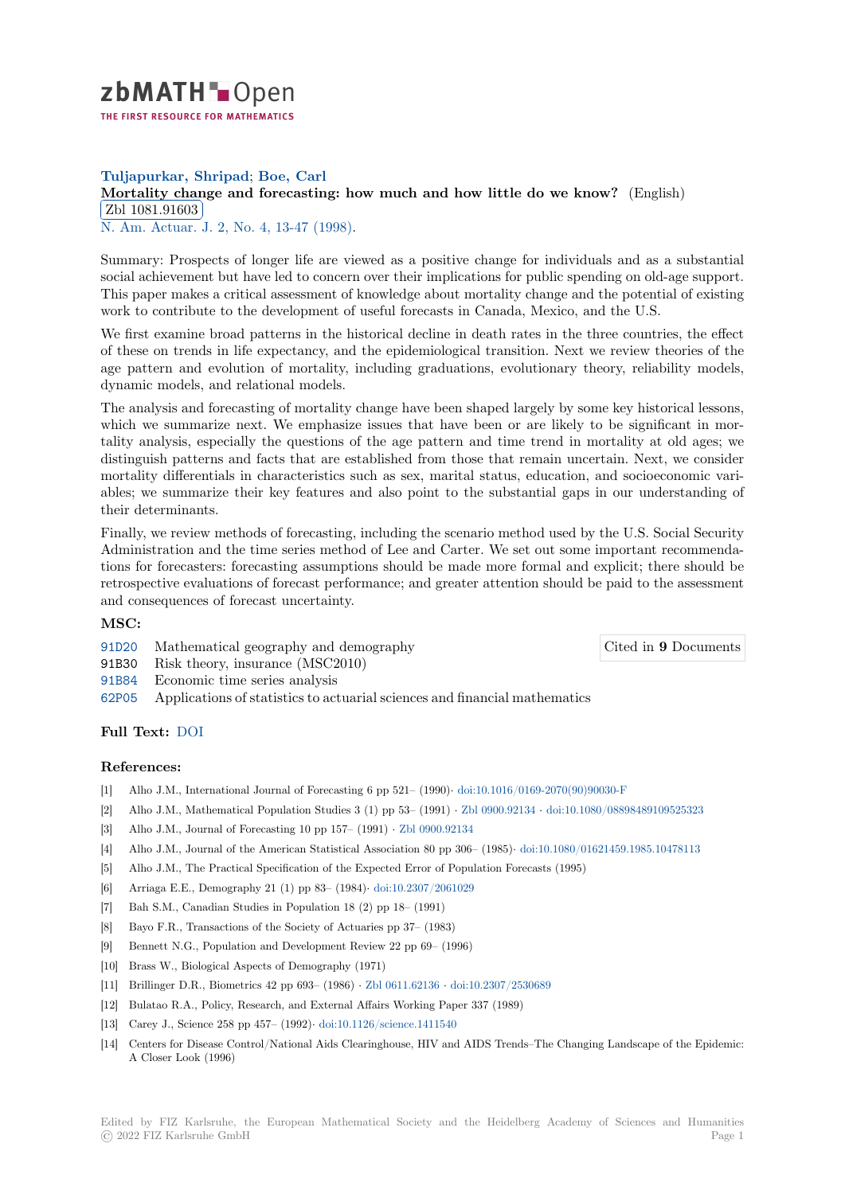

# **Tuljapurkar, Shripad**; **Boe, Carl**

## **[M](https://zbmath.org/)ortality change and forecasting: how much and how little do we know?** (English) **EDI 1001.91000**<br>N. Am. Actuar. J. 2, No. 4, 13-47 (1998). Zbl 1081.91603

[Summary: Prospects of longer life are viewed as a positive change for individuals a](https://zbmath.org/1081.91603)nd as a substantial [social achievement](https://zbmath.org/1081.91603) but have led to concern over their implications for public spending on old-age support. [This paper makes](https://zbmath.org/journals/?q=se:3081) [a critical assessment of](https://zbmath.org/?q=in:122456) knowledge about mortality change and the potential of existing work to contribute to the development of useful forecasts in Canada, Mexico, and the U.S.

We first examine broad patterns in the historical decline in death rates in the three countries, the effect of these on trends in life expectancy, and the epidemiological transition. Next we review theories of the age pattern and evolution of mortality, including graduations, evolutionary theory, reliability models, dynamic models, and relational models.

The analysis and forecasting of mortality change have been shaped largely by some key historical lessons, which we summarize next. We emphasize issues that have been or are likely to be significant in mortality analysis, especially the questions of the age pattern and time trend in mortality at old ages; we distinguish patterns and facts that are established from those that remain uncertain. Next, we consider mortality differentials in characteristics such as sex, marital status, education, and socioeconomic variables; we summarize their key features and also point to the substantial gaps in our understanding of their determinants.

Finally, we review methods of forecasting, including the scenario method used by the U.S. Social Security Administration and the time series method of Lee and Carter. We set out some important recommendations for forecasters: forecasting assumptions should be made more formal and explicit; there should be retrospective evaluations of forecast performance; and greater attention should be paid to the assessment and consequences of forecast uncertainty.

## **MSC:**

91D20 Mathematical geography and demography

Cited in **9** Documents

- 91B30 Risk theory, insurance (MSC2010)
- 91B84 Economic time series analysis
- 62P05 Applications of statistics to actuarial sciences and financial mathematics

### **[Full T](https://zbmath.org/classification/?q=cc:91D20)ext:** DOI

### **[Refer](https://zbmath.org/classification/?q=cc:62P05)ences:**

- [1] Alho J.M., International Journal of Forecasting 6 pp 521– (1990)*·* doi:10.1016/0169-2070(90)90030-F
- [2] Alho J.M[., Mat](https://dx.doi.org/10.1080/10920277.1998.10595752)hematical Population Studies 3 (1) pp 53– (1991) *·* Zbl 0900.92134 *·* doi:10.1080/08898489109525323
- [3] Alho J.M., Journal of Forecasting 10 pp 157– (1991) *·* Zbl 0900.92134
- [4] Alho J.M., Journal of the American Statistical Association 80 pp 306– (1985)*·* doi:10.1080/01621459.1985.10478113
- [5] Alho J.M., The Practical Specification of the Expected Error of P[opulation Forecasts \(1995\)](https://dx.doi.org/10.1016/0169-2070(90)90030-F)
- [6] Arriaga E.E., Demography 21 (1) pp 83– (1984)*·* doi:10.2307/2061029
- [7] Bah S.M., Canadian Studies in Population 18 (2) pp [18– \(1991\)](https://zbmath.org/0900.92134)
- [8] Bayo F.R., Transactions of the Society of Actuaries pp 37– (1983)
- [9] Bennett N.G., Population and Development Revi[ew 22 pp 69– \(1996\)](https://dx.doi.org/10.2307/2061029)
- [10] Brass W., Biological Aspects of Demography (1971)
- [11] Brillinger D.R., Biometrics 42 pp 693– (1986) *·* Zbl 0611.62136 *·* doi:10.2307/2530689
- [12] Bulatao R.A., Policy, Research, and External Affairs Working Paper 337 (1989)
- [13] Carey J., Science 258 pp 457– (1992)*·* doi:10.1126/science.1411540
- [14] Centers for Disease Control/National Aids Clea[ringhouse, HIV](https://zbmath.org/0611.62136) a[nd AIDS Trends–The](https://dx.doi.org/10.2307/2530689) Changing Landscape of the Epidemic: A Closer Look (1996)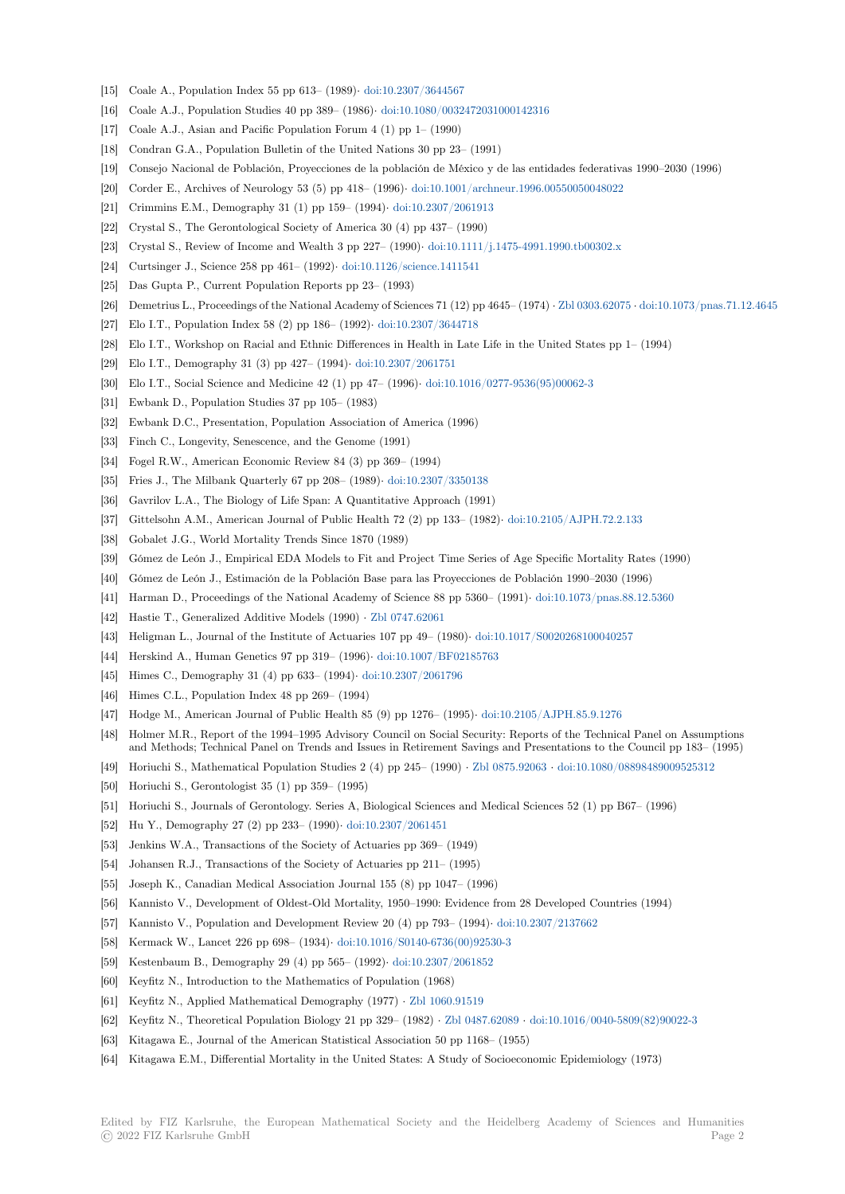- [15] Coale A., Population Index 55 pp 613– (1989)*·* doi:10.2307/3644567
- [16] Coale A.J., Population Studies 40 pp 389– (1986)*·* doi:10.1080/0032472031000142316
- [17] Coale A.J., Asian and Pacific Population Forum 4 (1) pp 1– (1990)
- [18] Condran G.A., Population Bulletin of the United Nations 30 pp 23– (1991)
- [19] Consejo Nacional de Población, Proyecciones d[e la población de Méx](https://dx.doi.org/10.2307/3644567)ico y de las entidades federativas 1990–2030 (1996)
- [20] Corder E., Archives of Neurology 53 (5) pp 418– (1996)*·* [doi:10.1001/archneur.1996.0](https://dx.doi.org/10.1080/0032472031000142316)0550050048022
- [21] Crimmins E.M., Demography 31 (1) pp 159– (1994)*·* doi:10.2307/2061913
- [22] Crystal S., The Gerontological Society of America 30 (4) pp 437– (1990)
- [23] Crystal S., Review of Income and Wealth 3 pp 227– (1990)*·* doi:10.1111/j.1475-4991.1990.tb00302.x
- [24] Curtsinger J., Science 258 pp 461– (1992)*·* doi:10.1126/s[cience.1411541](https://dx.doi.org/10.1001/archneur.1996.00550050048022)
- [25] Das Gupta P., Current Population Reports pp 23– ([1993\)](https://dx.doi.org/10.2307/2061913)
- [26] Demetrius L., Proceedings of the National Academy of Sciences 71 (12) pp 4645– (1974) *·* Zbl 0303.62075 *·* doi:10.1073/pnas.71.12.4645
- [27] Elo I.T., Population Index 58 (2) pp 186– (1992)*·* doi:10.230[7/3644718](https://dx.doi.org/10.1111/j.1475-4991.1990.tb00302.x)
- [28] Elo I.T., Workshop on Racial and Ethnic [Differences in Health in Late](https://dx.doi.org/10.1126/science.1411541) Life in the United States pp 1– (1994)
- [29] Elo I.T., Demography 31 (3) pp 427– (1994)*·* doi:10.2307/2061751
- [30] Elo I.T., Social Science and Medicine 42 (1) pp 47– (1996)*·* [doi:10.1016](https://dx.doi.org/10.2307/3644718)/0277-9536(95)[00062-3](https://zbmath.org/0303.62075)
- [31] Ewbank D., Population Studies 37 pp 105– (1983)
- [32] Ewbank D.C., Presentation, Population Association of America (1996)
- [33] Finch C., Longevity, Senescence, and the Ge[nome \(1991\)](https://dx.doi.org/10.2307/2061751)
- [34] Fogel R.W., American Economic Review 84 (3) pp 369– (19[94\)](https://dx.doi.org/10.1016/0277-9536(95)00062-3)
- [35] Fries J., The Milbank Quarterly 67 pp 208– (1989)*·* doi:10.2307/3350138
- [36] Gavrilov L.A., The Biology of Life Span: A Quantitative Approach (1991)
- [37] Gittelsohn A.M., American Journal of Public Health 72 (2) pp 133– (1982)*·* doi:10.2105/AJPH.72.2.133
- [38] Gobalet J.G., World Mortality Trends Since 1870 (1989)
- [39] Gómez de León J., Empirical EDA Models to Fit a[nd Project Time Serie](https://dx.doi.org/10.2307/3350138)s of Age Specific Mortality Rates (1990)
- [40] Gómez de León J., Estimación de la Población Base para las Proyecciones de Población 1990–2030 (1996)
- [41] Harman D., Proceedings of the National Academy of Science 88 pp 5360– (1991)*·* [doi:10.1073/pnas.88.12](https://dx.doi.org/10.2105/AJPH.72.2.133).5360
- [42] Hastie T., Generalized Additive Models (1990) *·* Zbl 0747.62061
- [43] Heligman L., Journal of the Institute of Actuaries 107 pp 49– (1980)*·* doi:10.1017/S0020268100040257
- [44] Herskind A., Human Genetics 97 pp 319– (1996)*·* doi:10.1007/BF02185763
- [45] Himes C., Demography 31 (4) pp 633– (1994)*·* doi:10.2307/2061796
- [46] Himes C.L., Population Index 48 pp 269– (1994)
- [47] Hodge M., American Journal of Public Health 85 (9) pp 1276– (1995)*·* [doi:10.2105/AJPH.85.9.1276](https://dx.doi.org/10.1017/S0020268100040257)
- [48] Holmer M.R., Report of the 1994–1995 Advisory [Council on Social Security](https://dx.doi.org/10.1007/BF02185763): Reports of the Technical Panel on Assumptions and Methods; Technical Panel on Trends andI[ssues in Retirement S](https://dx.doi.org/10.2307/2061796)avings and Presentations to the Council pp 183– (1995)
- [49] Horiuchi S., Mathematical Population Studies 2 (4) pp 245– (1990) *·* Zbl 0875.92063 *·* doi:10.1080/08898489009525312
- [50] Horiuchi S., Gerontologist 35 (1) pp 359– (1995)
- [51] Horiuchi S., Journals of Gerontology. Series A, Biological Sciences and Medical Sciences 52 (1) pp B67– (1996)
- [52] Hu Y., Demography 27 (2) pp 233– (1990)*·* doi:10.2307/2061451
- [53] Jenkins W.A., Transactions of the Society of Actuaries pp 369– (194[9\)](https://zbmath.org/0875.92063)
- [54] Johansen R.J., Transactions of the Society of Actuaries pp 211– (1995)
- [55] Joseph K., Canadian Medical Association Journal 155 (8) pp 1047– (1996)
- [56] Kannisto V., Development of Oldest-Old M[ortality, 1950–1990: E](https://dx.doi.org/10.2307/2061451)vidence from 28 Developed Countries (1994)
- [57] Kannisto V., Population and Development Review 20 (4) pp 793– (1994)*·* doi:10.2307/2137662
- [58] Kermack W., Lancet 226 pp 698– (1934)*·* doi:10.1016/S0140-6736(00)92530-3
- [59] Kestenbaum B., Demography 29 (4) pp 565– (1992)*·* doi:10.2307/2061852
- [60] Keyfitz N., Introduction to the Mathematics of Population (1968)
- [61] Keyfitz N., Applied Mathematical Demography (1977) *·* Zbl 1060.91519
- [62] Keyfitz N., Theoretical Population Biolog[y 21 pp 329– \(1982\)](https://dx.doi.org/10.1016/S0140-6736(00)92530-3) *·* Zbl 0487.62089 *·* doi:10.1016/0040-5809(82)90022-3
- [63] Kitagawa E., Journal of the American Statistical Ass[ociation 50 pp 1168–](https://dx.doi.org/10.2307/2061852) (1955)
- [64] Kitagawa E.M., Differential Mortality in the United Sta[tes: A Study of](https://zbmath.org/1060.91519) Socioeconomic Epidemiology (1973)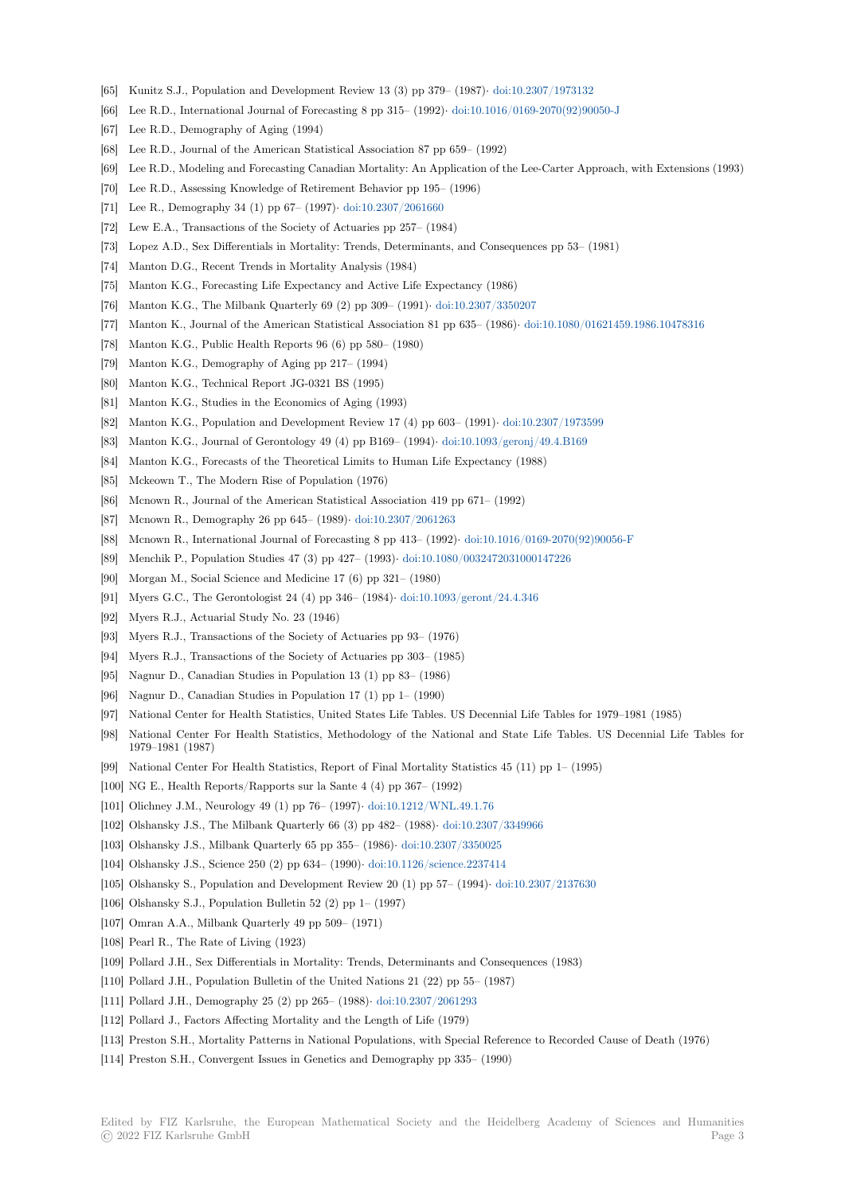- [65] Kunitz S.J., Population and Development Review 13 (3) pp 379– (1987)*·* doi:10.2307/1973132
- [66] Lee R.D., International Journal of Forecasting 8 pp 315– (1992)*·* doi:10.1016/0169-2070(92)90050-J
- [67] Lee R.D., Demography of Aging (1994)
- [68] Lee R.D., Journal of the American Statistical Association 87 pp 659– (1992)
- [69] Lee R.D., Modeling and Forecasting Canadian Mortality: An Application [of the Lee-Carter App](https://dx.doi.org/10.2307/1973132)roach, with Extensions (1993)
- [70] Lee R.D., Assessing Knowledge of Retirement Behavior pp 195– [\(1996\)](https://dx.doi.org/10.1016/0169-2070(92)90050-J)
- [71] Lee R., Demography 34 (1) pp 67– (1997)*·* doi:10.2307/2061660
- [72] Lew E.A., Transactions of the Society of Actuaries pp 257– (1984)
- [73] Lopez A.D., Sex Differentials in Mortality: Trends, Determinants, and Consequences pp 53– (1981)
- [74] Manton D.G., Recent Trends in Mortality Analysis (1984)
- [75] Manton K.G., Forecasting Life Expectancy [and Active Life Exp](https://dx.doi.org/10.2307/2061660)ectancy (1986)
- [76] Manton K.G., The Milbank Quarterly 69 (2) pp 309– (1991)*·* doi:10.2307/3350207
- [77] Manton K., Journal of the American Statistical Association 81 pp 635– (1986)*·* doi:10.1080/01621459.1986.10478316
- [78] Manton K.G., Public Health Reports 96 (6) pp 580– (1980)
- [79] Manton K.G., Demography of Aging pp 217– (1994)
- [80] Manton K.G., Technical Report JG-0321 BS (1995)
- [81] Manton K.G., Studies in the Economics of Aging (1993)
- [82] Manton K.G., Population and Development Review 17 (4) pp 603– (1991)*·* doi:10.2307/1973599
- [83] Manton K.G., Journal of Gerontology 49 (4) pp B169– (1994)*·* doi:10.1093/geronj/49.4.B169
- [84] Manton K.G., Forecasts of the Theoretical Limits to Human Life Expectancy (1988)
- [85] Mckeown T., The Modern Rise of Population (1976)
- [86] Mcnown R., Journal of the American Statistical Association 419 pp 671– ([1992\)](https://dx.doi.org/10.2307/1973599)
- [87] Mcnown R., Demography 26 pp 645– (1989)*·* doi:10.2307/2061[263](https://dx.doi.org/10.1093/geronj/49.4.B169)
- [88] Mcnown R., International Journal of Forecasting 8 pp 413– (1992)*·* doi:10.1016/0169-2070(92)90056-F
- [89] Menchik P., Population Studies 47 (3) pp 427– (1993)*·* doi:10.1080/0032472031000147226
- [90] Morgan M., Social Science and Medicine 17 (6) pp 321– (1980)
- [91] Myers G.C., The Gerontologist 24 (4) pp 346– (1984)*·* [doi:10.1093](https://dx.doi.org/10.2307/2061263)/geront/24.4.346
- [92] Myers R.J., Actuarial Study No. 23 (1946)
- [93] Myers R.J., Transactions of the Society of Actuaries p[p 93– \(1976\)](https://dx.doi.org/10.1080/0032472031000147226)
- [94] Myers R.J., Transactions of the Society of Actuaries pp 303– (1985)
- [95] Nagnur D., Canadian Studies in Population 13 (1) pp [83– \(1986\)](https://dx.doi.org/10.1093/geront/24.4.346)
- [96] Nagnur D., Canadian Studies in Population 17 (1) pp 1– (1990)
- [97] National Center for Health Statistics, United States Life Tables. US Decennial Life Tables for 1979–1981 (1985)
- [98] National Center For Health Statistics, Methodology of the National and State Life Tables. US Decennial Life Tables for 1979–1981 (1987)
- [99] National Center For Health Statistics, Report of Final Mortality Statistics 45 (11) pp 1– (1995)
- [100] NG E., Health Reports/Rapports sur la Sante 4 (4) pp 367– (1992)
- [101] Olichney J.M., Neurology 49 (1) pp 76– (1997)*·* doi:10.1212/WNL.49.1.76
- [102] Olshansky J.S., The Milbank Quarterly 66 (3) pp 482– (1988)*·* doi:10.2307/3349966
- [103] Olshansky J.S., Milbank Quarterly 65 pp 355– (1986)*·* doi:10.2307/3350025
- [104] Olshansky J.S., Science 250 (2) pp 634– (1990)*·* doi:10.1126/science.2237414
- [105] Olshansky S., Population and Development Rev[iew 20 \(1\) pp 57– \(1994\)](https://dx.doi.org/10.1212/WNL.49.1.76)*·* [doi:10.230](https://dx.doi.org/10.2307/3349966)7/2137630
- [106] Olshansky S.J., Population Bulletin 52 (2) pp 1– (1997[\)](https://dx.doi.org/10.2307/3350025)
- [107] Omran A.A., Milbank Quarterly 49 pp 509– (19[71\)](https://dx.doi.org/10.1126/science.2237414)
- [108] Pearl R., The Rate of Living (1923)
- [109] Pollard J.H., Sex Differentials in Mortality: Trends, Determinants and Co[nsequences \(1983\)](https://dx.doi.org/10.2307/2137630)
- [110] Pollard J.H., Population Bulletin of the United Nations 21 (22) pp 55– (1987)
- [111] Pollard J.H., Demography 25 (2) pp 265– (1988)*·* doi:10.2307/2061293
- [112] Pollard J., Factors Affecting Mortality and the Length of Life (1979)
- [113] Preston S.H., Mortality Patterns in National Populations, with Special Reference to Recorded Cause of Death (1976)
- [114] Preston S.H., Convergent Issues in Genetics and [Demography pp 335–](https://dx.doi.org/10.2307/2061293) (1990)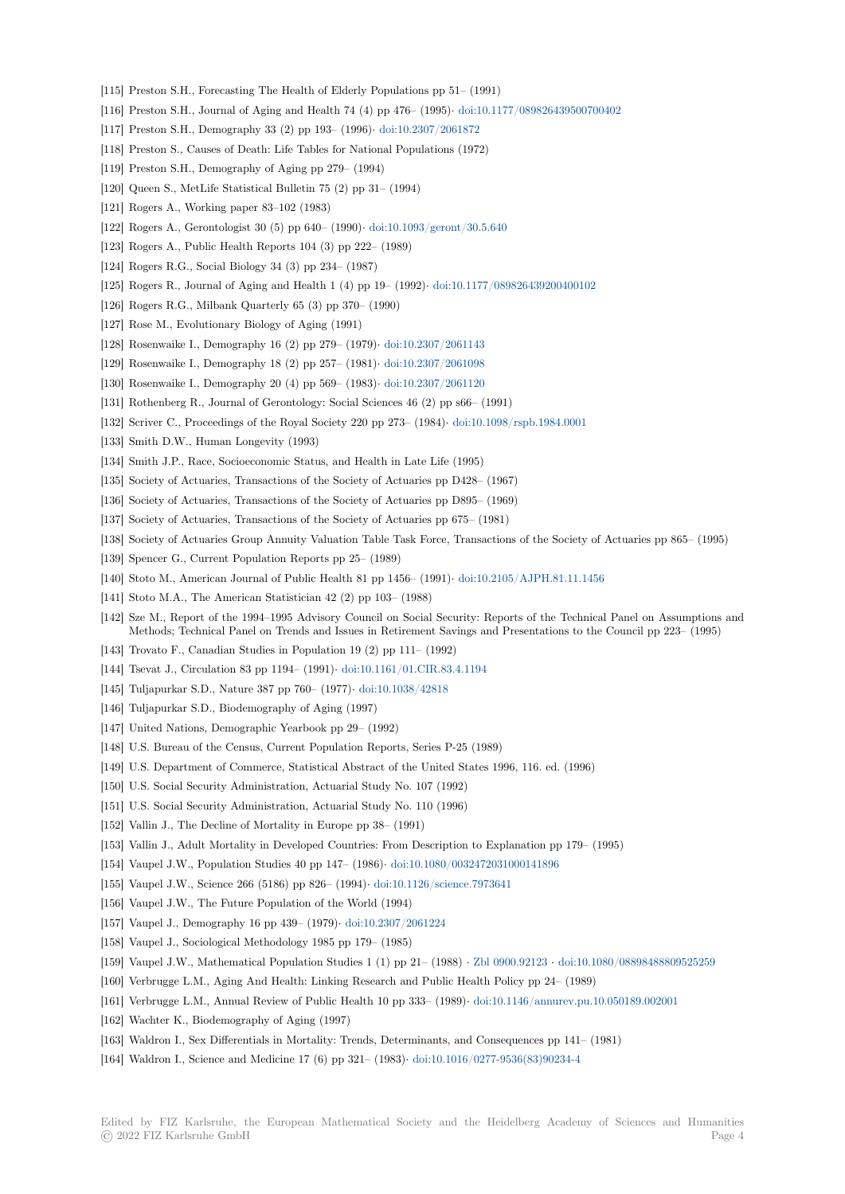- [115] Preston S.H., Forecasting The Health of Elderly Populations pp 51– (1991)
- [116] Preston S.H., Journal of Aging and Health 74 (4) pp 476– (1995)*·* doi:10.1177/089826439500700402
- [117] Preston S.H., Demography 33 (2) pp 193– (1996)*·* doi:10.2307/2061872
- [118] Preston S., Causes of Death: Life Tables for National Populations (1972)
- [119] Preston S.H., Demography of Aging pp 279– (1994)
- [120] Queen S., MetLife Statistical Bulletin 75 (2) pp 3[1– \(1994\)](https://dx.doi.org/10.2307/2061872)
- [121] Rogers A., Working paper 83–102 (1983)
- [122] Rogers A., Gerontologist 30 (5) pp 640– (1990)*·* doi:10.1093/geront/30.5.640
- [123] Rogers A., Public Health Reports 104 (3) pp 222– (1989)
- [124] Rogers R.G., Social Biology 34 (3) pp 234– (1987)
- [125] Rogers R., Journal of Aging and Health 1 (4) pp 19– (1992)*·* doi:10.1177/089826439200400102
- [126] Rogers R.G., Milbank Quarterly 65 (3) pp 370– [\(1990\)](https://dx.doi.org/10.1093/geront/30.5.640)
- [127] Rose M., Evolutionary Biology of Aging (1991)
- [128] Rosenwaike I., Demography 16 (2) pp 279– (1979)*·* doi:10.2307/2061143
- [129] Rosenwaike I., Demography 18 (2) pp 257– (1981)*·* doi:10.23[07/2061098](https://dx.doi.org/10.1177/089826439200400102)
- [130] Rosenwaike I., Demography 20 (4) pp 569– (1983)*·* doi:10.2307/2061120
- [131] Rothenberg R., Journal of Gerontology: Social Sciences 46 (2) pp s66– (1991)
- [132] Scriver C., Proceedings of the Royal Society 220 pp [273– \(1984\)](https://dx.doi.org/10.2307/2061143)*[·](https://dx.doi.org/10.2307/2061098)* doi:10.1098/rspb.1984.0001
- [133] Smith D.W., Human Longevity (1993)
- [134] Smith J.P., Race, Socioeconomic Status, and Healt[h in Late Life \(1995\)](https://dx.doi.org/10.2307/2061120)
- [135] Society of Actuaries, Transactions of the Society of Actuaries pp D428– (1967)
- [136] Society of Actuaries, Transactions of the Society of Actuaries pp [D895– \(1969\)](https://dx.doi.org/10.1098/rspb.1984.0001)
- [137] Society of Actuaries, Transactions of the Society of Actuaries pp 675– (1981)
- [138] Society of Actuaries Group Annuity Valuation Table Task Force, Transactions of the Society of Actuaries pp 865– (1995)
- [139] Spencer G., Current Population Reports pp 25– (1989)
- [140] Stoto M., American Journal of Public Health 81 pp 1456– (1991)*·* doi:10.2105/AJPH.81.11.1456
- [141] Stoto M.A., The American Statistician 42 (2) pp 103– (1988)
- [142] Sze M., Report of the 1994–1995 Advisory Council on Social Security: Reports of the Technical Panel on Assumptions and Methods; Technical Panel on Trends and Issues in Retirement Savings and Presentations to the Council pp 223– (1995)
- [143] Trovato F., Canadian Studies in Population 19 (2) pp 111– (1992)
- [144] Tsevat J., Circulation 83 pp 1194– (1991)*·* doi:10.1161/01.CIR.83.4.1194
- [145] Tuljapurkar S.D., Nature 387 pp 760– (1977)*·* doi:10.1038/42818
- [146] Tuljapurkar S.D., Biodemography of Aging (1997)
- [147] United Nations, Demographic Yearbook pp 29– (1992)
- [148] U.S. Bureau of the Census, Current Popul[ation Reports, Series P-25 \(19](https://dx.doi.org/10.1161/01.CIR.83.4.1194)89)
- [149] U.S. Department of Commerce, Statistical Ab[stract of the United](https://dx.doi.org/10.1038/42818) States 1996, 116. ed. (1996)
- [150] U.S. Social Security Administration, Actuarial Study No. 107 (1992)
- [151] U.S. Social Security Administration, Actuarial Study No. 110 (1996)
- [152] Vallin J., The Decline of Mortality in Europe pp 38– (1991)
- [153] Vallin J., Adult Mortality in Developed Countries: From Description to Explanation pp 179– (1995)
- [154] Vaupel J.W., Population Studies 40 pp 147– (1986)*·* doi:10.1080/0032472031000141896
- [155] Vaupel J.W., Science 266 (5186) pp 826– (1994)*·* doi:10.1126/science.7973641
- [156] Vaupel J.W., The Future Population of the World (1994)
- [157] Vaupel J., Demography 16 pp 439– (1979)*·* doi:10.2307/2061224
- [158] Vaupel J., Sociological Methodology 1985 pp 179– ([1985\)](https://dx.doi.org/10.1080/0032472031000141896)
- [159] Vaupel J.W., Mathematical Population Studies1 [\(1\) pp 21– \(1988\)](https://dx.doi.org/10.1126/science.7973641) *·* Zbl 0900.92123 *·* doi:10.1080/08898488809525259
- [160] Verbrugge L.M., Aging And Health: Linking Research and Public Health Policy pp 24– (1989)
- [161] Verbrugge L.M., Annual Review of Public [Health 10 pp 333– \(19](https://dx.doi.org/10.2307/2061224)89)*·* doi:10.1146/annurev.pu.10.050189.002001
- [162] Wachter K., Biodemography of Aging (1997)
- [163] Waldron I., Sex Differentials in Mortality: Trends, Determinants, and [Consequences p](https://zbmath.org/0900.92123)[p 141– \(1981\)](https://dx.doi.org/10.1080/08898488809525259)
- [164] Waldron I., Science and Medicine 17 (6) pp 321– (1983)*·* doi:10.1016/[0277-9536\(83\)90234-4](https://dx.doi.org/10.1146/annurev.pu.10.050189.002001)